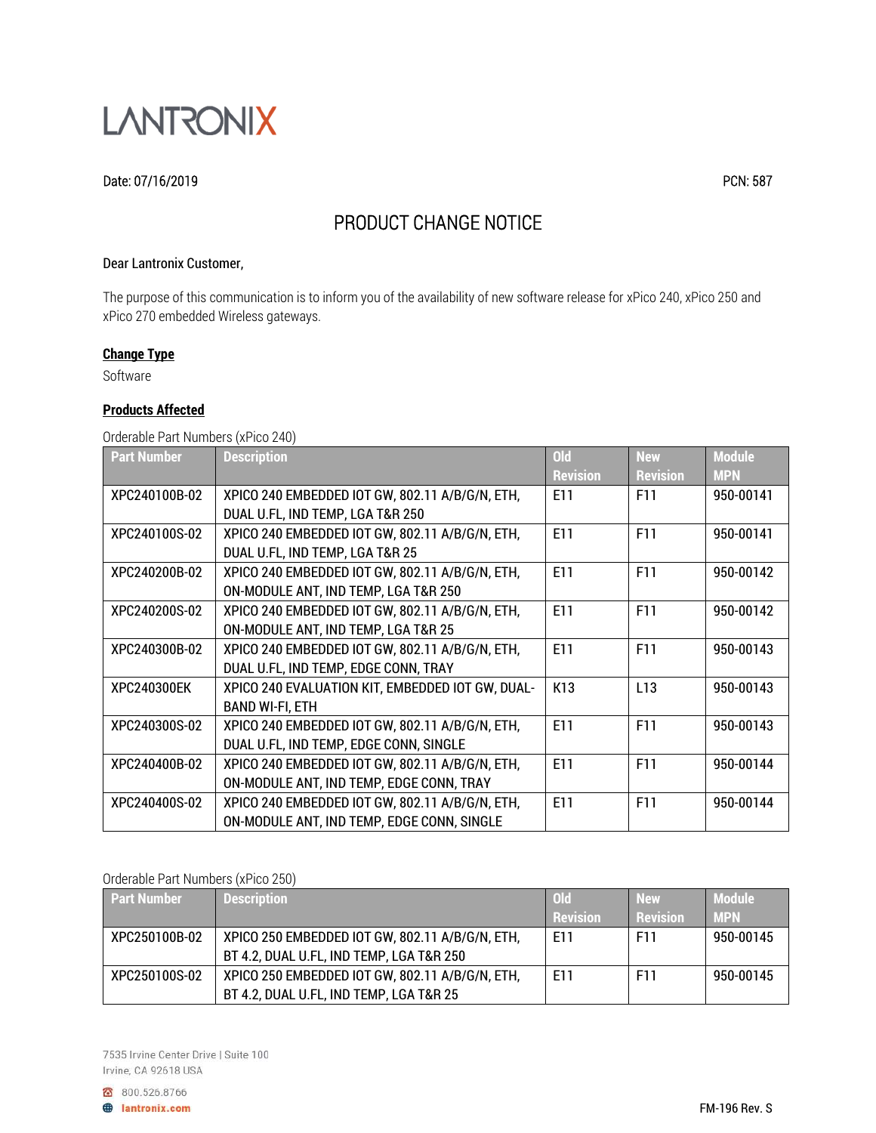

#### Date: 07/16/2019 PCN: 587

# PRODUCT CHANGE NOTICE

#### Dear Lantronix Customer,

The purpose of this communication is to inform you of the availability of new software release for xPico 240, xPico 250 and xPico 270 embedded Wireless gateways.

## **Change Type**

Software

#### **Products Affected**

#### Orderable Part Numbers (xPico 240)

| <b>Part Number</b> | <b>Description</b>                               | <b>Old</b><br><b>Revision</b> | <b>New</b><br><b>Revision</b> | <b>Module</b><br><b>MPN</b> |
|--------------------|--------------------------------------------------|-------------------------------|-------------------------------|-----------------------------|
| XPC240100B-02      | XPICO 240 EMBEDDED IOT GW, 802.11 A/B/G/N, ETH,  | E11                           | F11                           | 950-00141                   |
|                    | DUAL U.FL, IND TEMP, LGA T&R 250                 |                               |                               |                             |
| XPC240100S-02      | XPICO 240 EMBEDDED IOT GW, 802.11 A/B/G/N, ETH,  | E11                           | F11                           | 950-00141                   |
|                    | DUAL U.FL, IND TEMP, LGA T&R 25                  |                               |                               |                             |
| XPC240200B-02      | XPICO 240 EMBEDDED IOT GW, 802.11 A/B/G/N, ETH,  | E11                           | F11                           | 950-00142                   |
|                    | ON-MODULE ANT, IND TEMP, LGA T&R 250             |                               |                               |                             |
| XPC240200S-02      | XPICO 240 EMBEDDED IOT GW, 802.11 A/B/G/N, ETH,  | E11                           | F11                           | 950-00142                   |
|                    | ON-MODULE ANT, IND TEMP, LGA T&R 25              |                               |                               |                             |
| XPC240300B-02      | XPICO 240 EMBEDDED IOT GW, 802.11 A/B/G/N, ETH,  | E11                           | F11                           | 950-00143                   |
|                    | DUAL U.FL, IND TEMP, EDGE CONN, TRAY             |                               |                               |                             |
| XPC240300EK        | XPICO 240 EVALUATION KIT, EMBEDDED IOT GW, DUAL- | K <sub>13</sub>               | L <sub>13</sub>               | 950-00143                   |
|                    | <b>BAND WI-FI, ETH</b>                           |                               |                               |                             |
| XPC240300S-02      | XPICO 240 EMBEDDED IOT GW, 802.11 A/B/G/N, ETH,  | E11                           | F11                           | 950-00143                   |
|                    | DUAL U.FL, IND TEMP, EDGE CONN, SINGLE           |                               |                               |                             |
| XPC240400B-02      | XPICO 240 EMBEDDED IOT GW, 802.11 A/B/G/N, ETH,  | E11                           | F11                           | 950-00144                   |
|                    | ON-MODULE ANT, IND TEMP, EDGE CONN, TRAY         |                               |                               |                             |
| XPC240400S-02      | XPICO 240 EMBEDDED IOT GW, 802.11 A/B/G/N, ETH,  | E11                           | F11                           | 950-00144                   |
|                    | ON-MODULE ANT, IND TEMP, EDGE CONN, SINGLE       |                               |                               |                             |

#### Orderable Part Numbers (xPico 250)

| <b>Part Number</b> | <b>Description</b>                              | $Q_{d}$         | <b>New</b>  | <b>Module</b> |
|--------------------|-------------------------------------------------|-----------------|-------------|---------------|
|                    |                                                 | <b>Revision</b> | l Revision' | <b>MPN</b>    |
| XPC250100B-02      | XPICO 250 EMBEDDED IOT GW, 802.11 A/B/G/N, ETH, | F11             | F11         | 950-00145     |
|                    | BT 4.2, DUAL U.FL, IND TEMP, LGA T&R 250        |                 |             |               |
| XPC250100S-02      | XPICO 250 EMBEDDED IOT GW. 802.11 A/B/G/N. ETH. | F11             | F11         | 950-00145     |
|                    | BT 4.2, DUAL U.FL, IND TEMP, LGA T&R 25         |                 |             |               |

7535 Irvine Center Drive | Suite 100 Irvine, CA 92618 USA

800.526.8766

**A** lantronix.com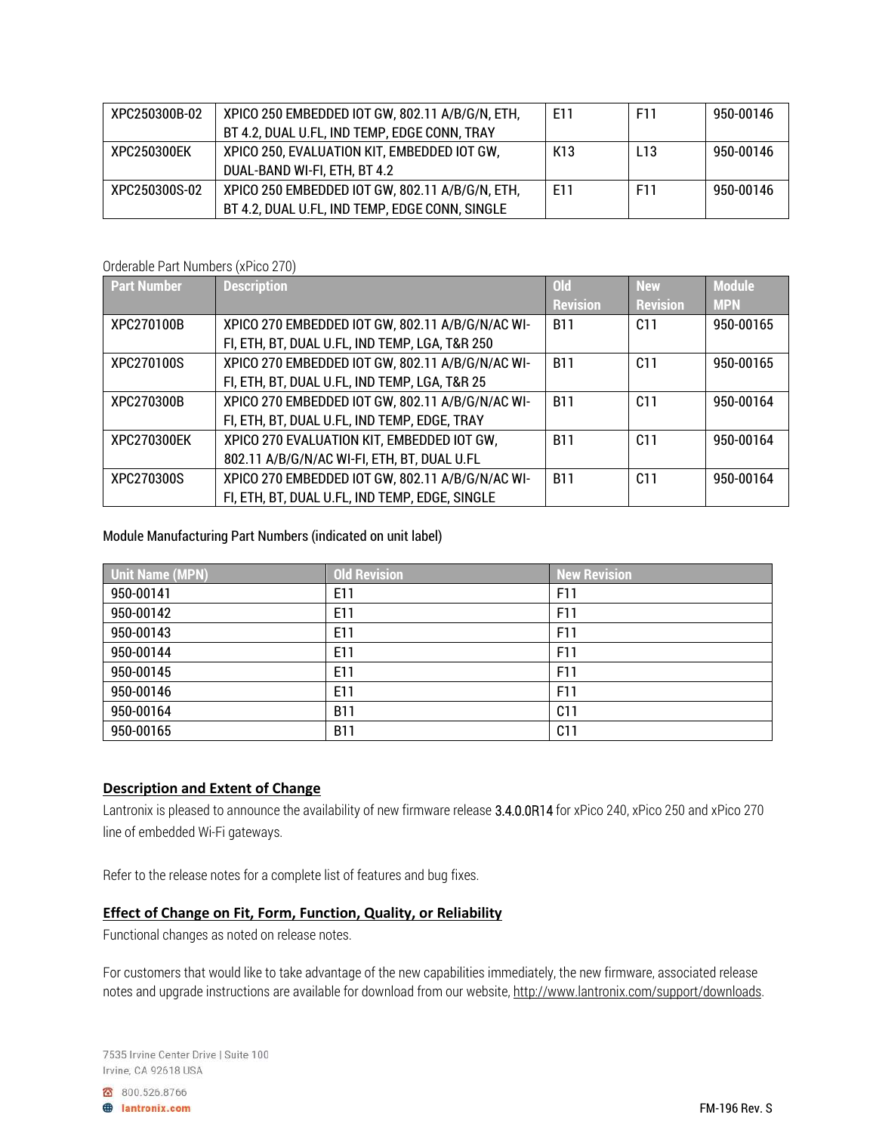| XPC250300B-02 | XPICO 250 EMBEDDED IOT GW, 802.11 A/B/G/N, ETH, | E11             | F11             | 950-00146 |
|---------------|-------------------------------------------------|-----------------|-----------------|-----------|
|               | BT 4.2, DUAL U.FL, IND TEMP, EDGE CONN, TRAY    |                 |                 |           |
| XPC250300EK   | XPICO 250, EVALUATION KIT, EMBEDDED IOT GW,     | K <sub>13</sub> | L <sub>13</sub> | 950-00146 |
|               | DUAL-BAND WI-FI, ETH, BT 4.2                    |                 |                 |           |
| XPC250300S-02 | XPICO 250 EMBEDDED IOT GW, 802.11 A/B/G/N, ETH, | F11             | F <sub>11</sub> | 950-00146 |
|               | BT 4.2, DUAL U.FL, IND TEMP, EDGE CONN, SINGLE  |                 |                 |           |

Orderable Part Numbers (xPico 270)

| <b>Part Number</b> | <b>Description</b>                               | <b>Old</b>      | <b>New</b>      | <b>Module</b> |
|--------------------|--------------------------------------------------|-----------------|-----------------|---------------|
|                    |                                                  | <b>Revision</b> | <b>Revision</b> | <b>MPN</b>    |
| XPC270100B         | XPICO 270 EMBEDDED IOT GW, 802.11 A/B/G/N/AC WI- | <b>B11</b>      | C11             | 950-00165     |
|                    | FI, ETH, BT, DUAL U.FL, IND TEMP, LGA, T&R 250   |                 |                 |               |
| XPC270100S         | XPICO 270 EMBEDDED IOT GW, 802.11 A/B/G/N/AC WI- | <b>B11</b>      | C <sub>11</sub> | 950-00165     |
|                    | FI, ETH, BT, DUAL U.FL, IND TEMP, LGA, T&R 25    |                 |                 |               |
| XPC270300B         | XPICO 270 EMBEDDED IOT GW, 802.11 A/B/G/N/AC WI- | <b>B11</b>      | C <sub>11</sub> | 950-00164     |
|                    | FI, ETH, BT, DUAL U.FL, IND TEMP, EDGE, TRAY     |                 |                 |               |
| XPC270300EK        | XPICO 270 EVALUATION KIT, EMBEDDED IOT GW,       | <b>B11</b>      | C11             | 950-00164     |
|                    | 802.11 A/B/G/N/AC WI-FI, ETH, BT, DUAL U.FL      |                 |                 |               |
| XPC270300S         | XPICO 270 EMBEDDED IOT GW, 802.11 A/B/G/N/AC WI- | <b>B11</b>      | C <sub>11</sub> | 950-00164     |
|                    | FI, ETH, BT, DUAL U.FL, IND TEMP, EDGE, SINGLE   |                 |                 |               |

Module Manufacturing Part Numbers (indicated on unit label)

| <b>Unit Name (MPN)</b> | <b>Old Revision</b> | New Revision    |
|------------------------|---------------------|-----------------|
| 950-00141              | E11                 | F11             |
| 950-00142              | E11                 | F11             |
| 950-00143              | E11                 | F11             |
| 950-00144              | E11                 | F <sub>11</sub> |
| 950-00145              | E11                 | F11             |
| 950-00146              | E11                 | F <sub>11</sub> |
| 950-00164              | <b>B11</b>          | C <sub>11</sub> |
| 950-00165              | <b>B11</b>          | C <sub>11</sub> |

## **Description and Extent of Change**

Lantronix is pleased to announce the availability of new firmware release 3.4.0.0R14 for xPico 240, xPico 250 and xPico 270 line of embedded Wi-Fi gateways.

Refer to the release notes for a complete list of features and bug fixes.

### **Effect of Change on Fit, Form, Function, Quality, or Reliability**

Functional changes as noted on release notes.

For customers that would like to take advantage of the new capabilities immediately, the new firmware, associated release notes and upgrade instructions are available for download from our website, http://www.lantronix.com/support/downloads.

800.526.8766

**A** lantronix.com